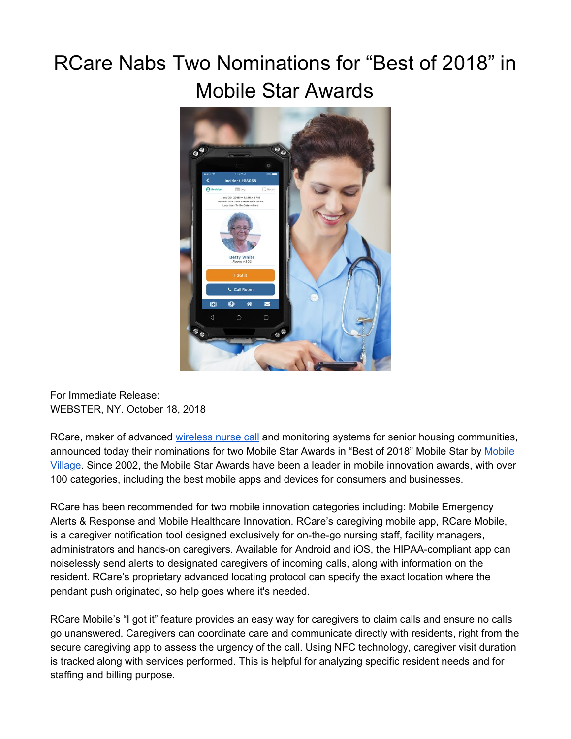# RCare Nabs Two Nominations for "Best of 2018" in Mobile Star Awards



For Immediate Release: WEBSTER, NY. October 18, 2018

RCare, maker of advanced [wireless](https://rcareinc.com/) nurse call and monitoring systems for senior housing communities, announced today their nominations for two [Mobile](http://www.mobilevillage.com/) Star Awards in "Best of 2018" Mobile Star by Mobile [Village.](http://www.mobilevillage.com/) Since 2002, the Mobile Star Awards have been a leader in mobile innovation awards, with over 100 categories, including the best mobile apps and devices for consumers and businesses.

RCare has been recommended for two mobile innovation categories including: Mobile Emergency Alerts & Response and Mobile Healthcare Innovation. RCare's caregiving mobile app, RCare Mobile, is a caregiver notification tool designed exclusively for on-the-go nursing staff, facility managers, administrators and hands-on caregivers. Available for Android and iOS, the HIPAA-compliant app can noiselessly send alerts to designated caregivers of incoming calls, along with information on the resident. RCare's proprietary advanced locating protocol can specify the exact location where the pendant push originated, so help goes where it's needed.

RCare Mobile's "I got it" feature provides an easy way for caregivers to claim calls and ensure no calls go unanswered. Caregivers can coordinate care and communicate directly with residents, right from the secure caregiving app to assess the urgency of the call. Using NFC technology, caregiver visit duration is tracked along with services performed. This is helpful for analyzing specific resident needs and for staffing and billing purpose.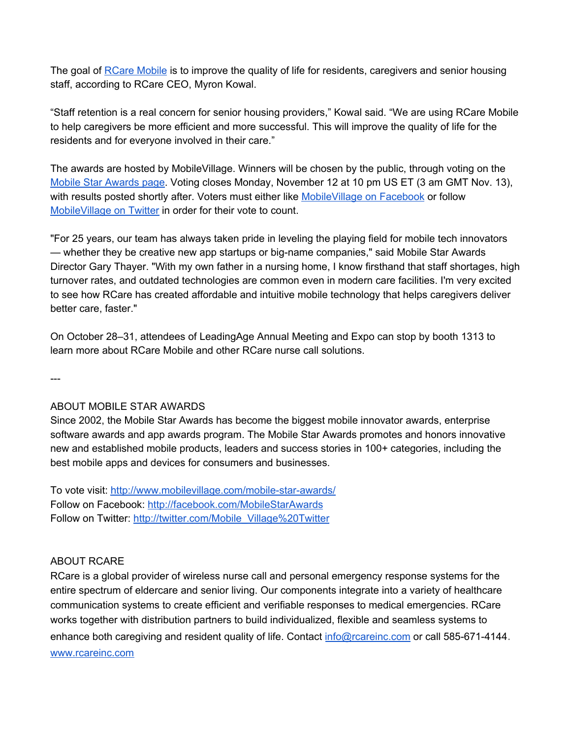The goal of **RCare [Mobile](https://rcareinc.com/products/rcare-mobile/)** is to improve the quality of life for residents, caregivers and senior housing staff, according to RCare CEO, Myron Kowal.

"Staff retention is a real concern for senior housing providers," Kowal said. "We are using RCare Mobile to help caregivers be more efficient and more successful. This will improve the quality of life for the residents and for everyone involved in their care."

The awards are hosted by MobileVillage. Winners will be chosen by the public, through voting on the Mobile Star [Awards](http://www.mobilevillage.com/mobile-star-awards/) page. Voting closes Monday, November 12 at 10 pm US ET (3 am GMT Nov. 13), with results posted shortly after. Voters must either like [MobileVillage](http://facebook.com/MobileStarAwards) on Facebook or follow [MobileVillage](http://twitter.com/Mobile_Village%20Twitter) on Twitter in order for their vote to count.

"For 25 years, our team has always taken pride in leveling the playing field for mobile tech innovators — whether they be creative new app startups or big-name companies," said Mobile Star Awards Director Gary Thayer. "With my own father in a nursing home, I know firsthand that staff shortages, high turnover rates, and outdated technologies are common even in modern care facilities. I'm very excited to see how RCare has created affordable and intuitive mobile technology that helps caregivers deliver better care, faster."

On October 28–31, attendees of LeadingAge Annual Meeting and Expo can stop by booth 1313 to learn more about RCare Mobile and other RCare nurse call solutions.

---

#### ABOUT MOBILE STAR AWARDS

Since 2002, the Mobile Star Awards has become the biggest mobile innovator awards, enterprise software awards and app awards program. The Mobile Star Awards promotes and honors innovative new and established mobile products, leaders and success stories in 100+ categories, including the best mobile apps and devices for consumers and businesses.

To vote visit: <http://www.mobilevillage.com/mobile-star-awards/> Follow on Facebook: <http://facebook.com/MobileStarAwards> Follow on Twitter: [http://twitter.com/Mobile\\_Village%20Twitter](http://twitter.com/Mobile_Village%20Twitter)

#### ABOUT RCARE

[RCare](http://rcareinc.com/) is a global provider of wireless nurse call and personal emergency response systems for the entire spectrum of eldercare and senior living. Our components integrate into a variety of healthcare communication systems to create efficient and verifiable responses to medical emergencies. RCare works together with distribution partners to build individualized, flexible and seamless systems to enhance both caregiving and resident quality of life. Contact [info@rcareinc.com](mailto:info@rcareinc.com) or call 585-671-4144. [www.rcareinc.com](http://www.rcareinc.com/)